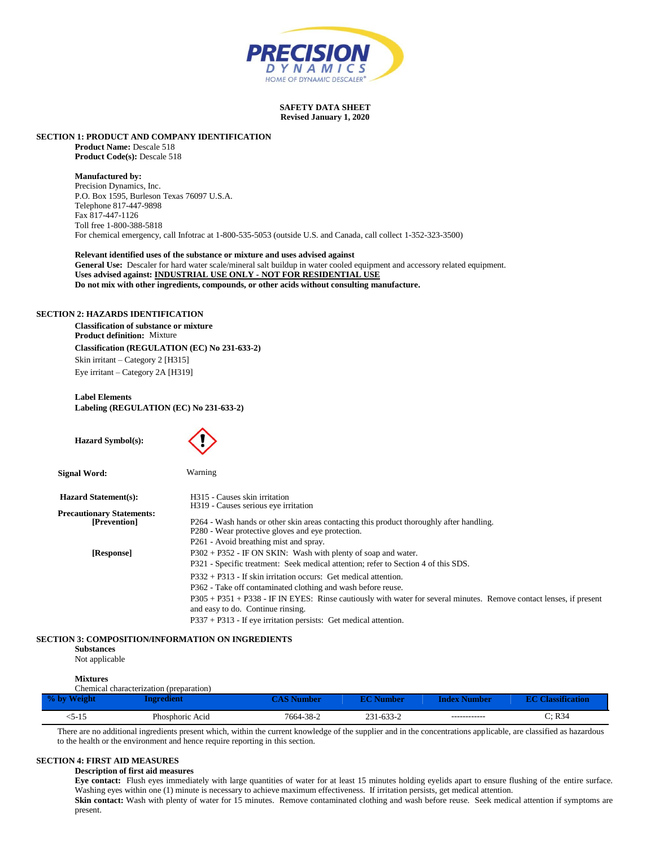

# **SAFETY DATA SHEET Revised January 1, 2020**

# **SECTION 1: PRODUCT AND COMPANY IDENTIFICATION**

**Product Name:** Descale 518 **Product Code(s):** Descale 518

#### **Manufactured by:**

Precision Dynamics, Inc. P.O. Box 1595, Burleson Texas 76097 U.S.A. Telephone 817-447-9898 Fax 817-447-1126 Toll free 1-800-388-5818 For chemical emergency, call Infotrac at 1-800-535-5053 (outside U.S. and Canada, call collect 1-352-323-3500)

**Relevant identified uses of the substance or mixture and uses advised against General Use:** Descaler for hard water scale/mineral salt buildup in water cooled equipment and accessory related equipment. **Uses advised against: INDUSTRIAL USE ONLY - NOT FOR RESIDENTIAL USE Do not mix with other ingredients, compounds, or other acids without consulting manufacture.**

# **SECTION 2: HAZARDS IDENTIFICATION**

**Classification of substance or mixture Product definition:** Mixture **Classification (REGULATION (EC) No 231-633-2)** Skin irritant – Category 2 [H315] Eye irritant – Category 2A [H319]

**Label Elements Labeling (REGULATION (EC) No 231-633-2)**

| <b>Hazard Symbol(s):</b>                         |                                                                                                                                                                                                                                                                                               |
|--------------------------------------------------|-----------------------------------------------------------------------------------------------------------------------------------------------------------------------------------------------------------------------------------------------------------------------------------------------|
| Signal Word:                                     | Warning                                                                                                                                                                                                                                                                                       |
| <b>Hazard Statement(s):</b>                      | H315 - Causes skin irritation                                                                                                                                                                                                                                                                 |
| <b>Precautionary Statements:</b><br>[Prevention] | H <sub>3</sub> 19 - Causes serious eye irritation<br>P264 - Wash hands or other skin areas contacting this product thoroughly after handling.<br>P280 - Wear protective gloves and eye protection.<br>P261 - Avoid breathing mist and spray.                                                  |
| [Response]                                       | $P302 + P352$ - IF ON SKIN: Wash with plenty of soap and water.<br>P321 - Specific treatment: Seek medical attention; refer to Section 4 of this SDS.                                                                                                                                         |
|                                                  | $P332 + P313$ - If skin irritation occurs: Get medical attention.<br>P362 - Take off contaminated clothing and wash before reuse.<br>P305 + P351 + P338 - IF IN EYES: Rinse cautiously with water for several minutes. Remove contact lenses, if present<br>and easy to do. Continue rinsing. |
|                                                  | $P337 + P313$ - If eye irritation persists: Get medical attention.                                                                                                                                                                                                                            |

# **SECTION 3: COMPOSITION/INFORMATION ON INGREDIENTS**

**Substances** Not applicable

# **Mixtures**

|       | Chemical characterization (preparation) |                  |               |                     |                          |
|-------|-----------------------------------------|------------------|---------------|---------------------|--------------------------|
|       | ngredient                               | <b>AS Number</b> | <b>Number</b> | <b>Index Number</b> | <b>EC Classification</b> |
| :5-15 | Phosphoric Acid                         | 7664-38-2        | 231-633-2     | ------------        | C: R34                   |

There are no additional ingredients present which, within the current knowledge of the supplier and in the concentrations applicable, are classified as hazardous to the health or the environment and hence require reporting in this section.

# **SECTION 4: FIRST AID MEASURES**

# **Description of first aid measures**

**Eye contact:** Flush eyes immediately with large quantities of water for at least 15 minutes holding eyelids apart to ensure flushing of the entire surface. Washing eyes within one (1) minute is necessary to achieve maximum effectiveness. If irritation persists, get medical attention.

Skin contact: Wash with plenty of water for 15 minutes. Remove contaminated clothing and wash before reuse. Seek medical attention if symptoms are present.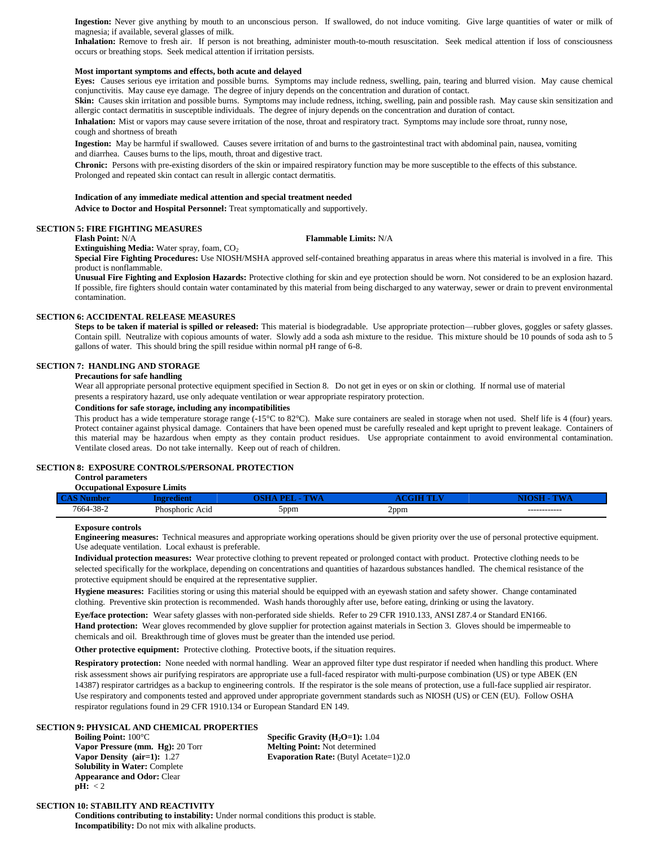Ingestion: Never give anything by mouth to an unconscious person. If swallowed, do not induce vomiting. Give large quantities of water or milk of magnesia; if available, several glasses of milk.

**Inhalation:** Remove to fresh air. If person is not breathing, administer mouth-to-mouth resuscitation. Seek medical attention if loss of consciousness occurs or breathing stops. Seek medical attention if irritation persists.

# **Most important symptoms and effects, both acute and delayed**

**Eyes:** Causes serious eye irritation and possible burns. Symptoms may include redness, swelling, pain, tearing and blurred vision. May cause chemical conjunctivitis. May cause eye damage. The degree of injury depends on the concentration and duration of contact.

Skin: Causes skin irritation and possible burns. Symptoms may include redness, itching, swelling, pain and possible rash. May cause skin sensitization and allergic contact dermatitis in susceptible individuals. The degree of injury depends on the concentration and duration of contact.

**Inhalation:** Mist or vapors may cause severe irritation of the nose, throat and respiratory tract. Symptoms may include sore throat, runny nose, cough and shortness of breath

**Ingestion:** May be harmful if swallowed. Causes severe irritation of and burns to the gastrointestinal tract with abdominal pain, nausea, vomiting and diarrhea. Causes burns to the lips, mouth, throat and digestive tract.

**Chronic:** Persons with pre-existing disorders of the skin or impaired respiratory function may be more susceptible to the effects of this substance. Prolonged and repeated skin contact can result in allergic contact dermatitis.

#### **Indication of any immediate medical attention and special treatment needed**

**Advice to Doctor and Hospital Personnel:** Treat symptomatically and supportively.

# **SECTION 5: FIRE FIGHTING MEASURES**

**Flash Point:** N/A **Flammable Limits:** N/A

**Extinguishing Media:** Water spray, foam, CO<sub>2</sub>

**Special Fire Fighting Procedures:** Use NIOSH/MSHA approved self-contained breathing apparatus in areas where this material is involved in a fire. This product is nonflammable.

**Unusual Fire Fighting and Explosion Hazards:** Protective clothing for skin and eye protection should be worn. Not considered to be an explosion hazard. If possible, fire fighters should contain water contaminated by this material from being discharged to any waterway, sewer or drain to prevent environmental contamination.

# **SECTION 6: ACCIDENTAL RELEASE MEASURES**

**Steps to be taken if material is spilled or released:** This material is biodegradable. Use appropriate protection—rubber gloves, goggles or safety glasses. Contain spill. Neutralize with copious amounts of water. Slowly add a soda ash mixture to the residue. This mixture should be 10 pounds of soda ash to 5 gallons of water. This should bring the spill residue within normal pH range of 6-8.

## **SECTION 7: HANDLING AND STORAGE**

# **Precautions for safe handling**

Wear all appropriate personal protective equipment specified in Section 8. Do not get in eyes or on skin or clothing. If normal use of material presents a respiratory hazard, use only adequate ventilation or wear appropriate respiratory protection.

# **Conditions for safe storage, including any incompatibilities**

This product has a wide temperature storage range (-15°C to 82°C). Make sure containers are sealed in storage when not used. Shelf life is 4 (four) years. Protect container against physical damage. Containers that have been opened must be carefully resealed and kept upright to prevent leakage. Containers of this material may be hazardous when empty as they contain product residues. Use appropriate containment to avoid environmental contamination. Ventilate closed areas. Do not take internally. Keep out of reach of children.

#### **SECTION 8: EXPOSURE CONTROLS/PERSONAL PROTECTION**

#### **Control parameters Occupational Exposure Limits**

| $C_{\rm A}$ |              | <b><i><u>Property</u></i></b> |      |              |
|-------------|--------------|-------------------------------|------|--------------|
| 7664-38-2   | Acıd         |                               | 2ppm | ------------ |
|             | Phosphoric / | 5ppm                          | . .  |              |

# **Exposure controls**

**Engineering measures:** Technical measures and appropriate working operations should be given priority over the use of personal protective equipment. Use adequate ventilation. Local exhaust is preferable.

**Individual protection measures:** Wear protective clothing to prevent repeated or prolonged contact with product. Protective clothing needs to be selected specifically for the workplace, depending on concentrations and quantities of hazardous substances handled. The chemical resistance of the protective equipment should be enquired at the representative supplier.

**Hygiene measures:** Facilities storing or using this material should be equipped with an eyewash station and safety shower. Change contaminated clothing. Preventive skin protection is recommended. Wash hands thoroughly after use, before eating, drinking or using the lavatory.

**Eye/face protection:** Wear safety glasses with non-perforated side shields. Refer to 29 CFR 1910.133, ANSI Z87.4 or Standard EN166.

**Hand protection:** Wear gloves recommended by glove supplier for protection against materials in Section 3. Gloves should be impermeable to chemicals and oil. Breakthrough time of gloves must be greater than the intended use period.

**Other protective equipment:** Protective clothing. Protective boots, if the situation requires.

**Respiratory protection:** None needed with normal handling. Wear an approved filter type dust respirator if needed when handling this product. Where risk assessment shows air purifying respirators are appropriate use a full-faced respirator with multi-purpose combination (US) or type ABEK (EN 14387) respirator cartridges as a backup to engineering controls. If the respirator is the sole means of protection, use a full-face supplied air respirator. Use respiratory and components tested and approved under appropriate government standards such as NIOSH (US) or CEN (EU). Follow OSHA respirator regulations found in 29 CFR 1910.134 or European Standard EN 149.

# **SECTION 9: PHYSICAL AND CHEMICAL PROPERTIES**

**Boiling Point:** 100°C **Specific Gravity (H<sub>2</sub>O=1):** 1.04 **Vapor Pressure (mm. Hg):** 20 Torr **Melting Point:** Not determined **Solubility in Water:** Complete **Appearance and Odor:** Clear **pH:** < 2

**Vapor Density (air=1):** 1.27 **Evaporation Rate:** (Butyl Acetate=1)2.0

# **SECTION 10: STABILITY AND REACTIVITY**

**Conditions contributing to instability:** Under normal conditions this product is stable. **Incompatibility:** Do not mix with alkaline products.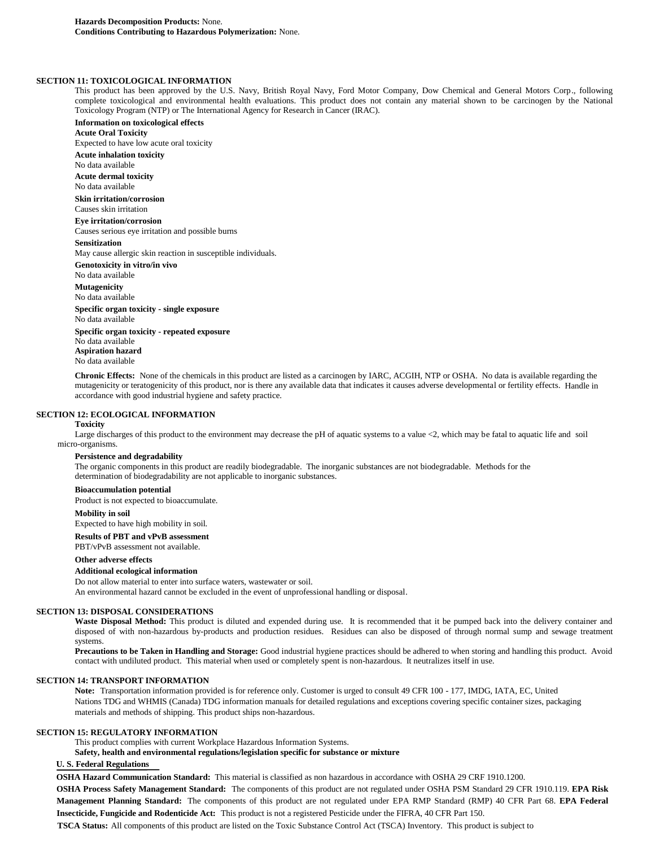# **SECTION 11: TOXICOLOGICAL INFORMATION**

This product has been approved by the U.S. Navy, British Royal Navy, Ford Motor Company, Dow Chemical and General Motors Corp., following complete toxicological and environmental health evaluations. This product does not contain any material shown to be carcinogen by the National Toxicology Program (NTP) or The International Agency for Research in Cancer (IRAC).

**Information on toxicological effects Acute Oral Toxicity** Expected to have low acute oral toxicity **Acute inhalation toxicity** No data available **Acute dermal toxicity** No data available **Skin irritation/corrosion** Causes skin irritation **Eye irritation/corrosion** Causes serious eye irritation and possible burns **Sensitization** May cause allergic skin reaction in susceptible individuals. **Genotoxicity in vitro/in vivo** No data available **Mutagenicity** No data available **Specific organ toxicity - single exposure** No data available **Specific organ toxicity - repeated exposure** No data available

**Aspiration hazard** No data available

**Chronic Effects:** None of the chemicals in this product are listed as a carcinogen by IARC, ACGIH, NTP or OSHA. No data is available regarding the mutagenicity or teratogenicity of this product, nor is there any available data that indicates it causes adverse developmental or fertility effects. Handle in accordance with good industrial hygiene and safety practice.

#### **SECTION 12: ECOLOGICAL INFORMATION**

#### **Toxicity**

Large discharges of this product to the environment may decrease the pH of aquatic systems to a value <2, which may be fatal to aquatic life and soil micro-organisms.

#### **Persistence and degradability**

The organic components in this product are readily biodegradable. The inorganic substances are not biodegradable. Methods for the determination of biodegradability are not applicable to inorganic substances.

# **Bioaccumulation potential**

Product is not expected to bioaccumulate.

#### **Mobility in soil**

Expected to have high mobility in soil.

**Results of PBT and vPvB assessment**

PBT/vPvB assessment not available.

#### **Other adverse effects**

## **Additional ecological information**

Do not allow material to enter into surface waters, wastewater or soil.

An environmental hazard cannot be excluded in the event of unprofessional handling or disposal.

# **SECTION 13: DISPOSAL CONSIDERATIONS**

Waste Disposal Method: This product is diluted and expended during use. It is recommended that it be pumped back into the delivery container and disposed of with non-hazardous by-products and production residues. Residues can also be disposed of through normal sump and sewage treatment systems.

**Precautions to be Taken in Handling and Storage:** Good industrial hygiene practices should be adhered to when storing and handling this product. Avoid contact with undiluted product. This material when used or completely spent is non-hazardous. It neutralizes itself in use.

# **SECTION 14: TRANSPORT INFORMATION**

**Note:** Transportation information provided is for reference only. Customer is urged to consult 49 CFR 100 - 177, IMDG, IATA, EC, United Nations TDG and WHMIS (Canada) TDG information manuals for detailed regulations and exceptions covering specific container sizes, packaging materials and methods of shipping. This product ships non-hazardous.

#### **SECTION 15: REGULATORY INFORMATION**

This product complies with current Workplace Hazardous Information Systems.

**Safety, health and environmental regulations/legislation specific for substance or mixture**

# **U. S. Federal Regulations**

**OSHA Hazard Communication Standard:** This material is classified as non hazardous in accordance with OSHA 29 CRF 1910.1200. **OSHA Process Safety Management Standard:** The components of this product are not regulated under OSHA PSM Standard 29 CFR 1910.119. **EPA Risk Management Planning Standard:** The components of this product are not regulated under EPA RMP Standard (RMP) 40 CFR Part 68. **EPA Federal Insecticide, Fungicide and Rodenticide Act:** This product is not a registered Pesticide under the FIFRA, 40 CFR Part 150.

**TSCA Status:** All components of this product are listed on the Toxic Substance Control Act (TSCA) Inventory. This product is subject to